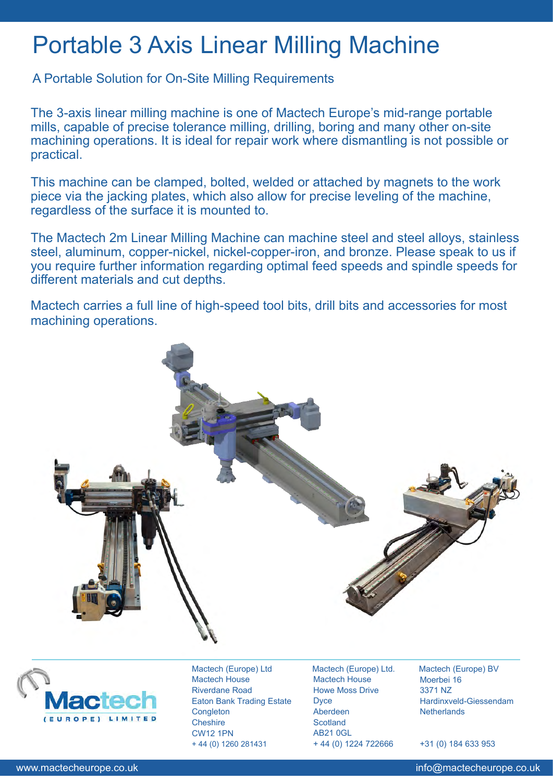## Portable 3 Axis Linear Milling Machine

A Portable Solution for On-Site Milling Requirements

The 3-axis linear milling machine is one of Mactech Europe's mid-range portable mills, capable of precise tolerance milling, drilling, boring and many other on-site machining operations. It is ideal for repair work where dismantling is not possible or practical.

This machine can be clamped, bolted, welded or attached by magnets to the work piece via the jacking plates, which also allow for precise leveling of the machine, regardless of the surface it is mounted to.

The Mactech 2m Linear Milling Machine can machine steel and steel alloys, stainless steel, aluminum, copper-nickel, nickel-copper-iron, and bronze. Please speak to us if you require further information regarding optimal feed speeds and spindle speeds for different materials and cut depths.

Mactech carries a full line of high-speed tool bits, drill bits and accessories for most machining operations.





Mactech (Europe) Ltd Mactech House Riverdane Road Eaton Bank Trading Estate **Congleton Cheshire** CW12 1PN + 44 (0) 1260 281431

Mactech (Europe) Ltd. Mactech House Howe Moss Drive **Dyce** Aberdeen **Scotland** AB21 0GL + 44 (0) 1224 722666

Mactech (Europe) BV Moerbei 16 3371 NZ Hardinxveld-Giessendam **Netherlands** 

+31 (0) 184 633 953